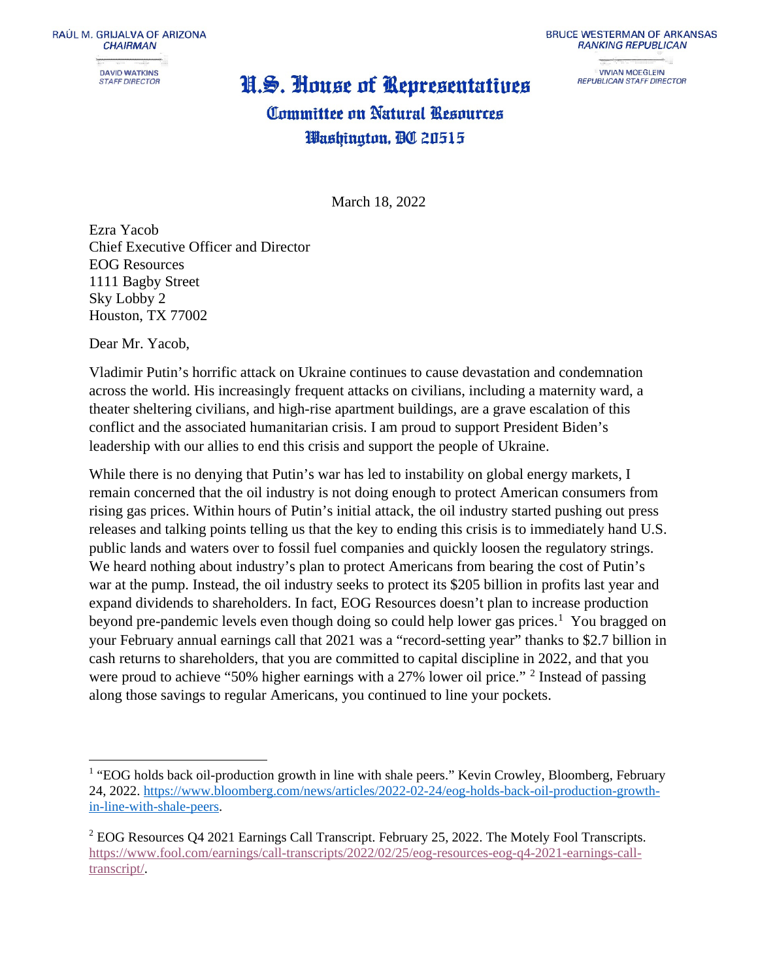**STAFF DIRECTOR** 

#### U.S. House of Representatives

**BRUCE WESTERMAN OF ARKANSAS RANKING REPUBLICAN** 

> **VIVIAN MOEGLEIN REPUBLICAN STAFF DIRECTOR**

### **Committee on Natural Resources** Washington, DC 20515

March 18, 2022

Ezra Yacob Chief Executive Officer and Director EOG Resources 1111 Bagby Street Sky Lobby 2 Houston, TX 77002

Dear Mr. Yacob,

Vladimir Putin's horrific attack on Ukraine continues to cause devastation and condemnation across the world. His increasingly frequent attacks on civilians, including a maternity ward, a theater sheltering civilians, and high-rise apartment buildings, are a grave escalation of this conflict and the associated humanitarian crisis. I am proud to support President Biden's leadership with our allies to end this crisis and support the people of Ukraine.

While there is no denying that Putin's war has led to instability on global energy markets, I remain concerned that the oil industry is not doing enough to protect American consumers from rising gas prices. Within hours of Putin's initial attack, the oil industry started pushing out press releases and talking points telling us that the key to ending this crisis is to immediately hand U.S. public lands and waters over to fossil fuel companies and quickly loosen the regulatory strings. We heard nothing about industry's plan to protect Americans from bearing the cost of Putin's war at the pump. Instead, the oil industry seeks to protect its \$205 billion in profits last year and expand dividends to shareholders. In fact, EOG Resources doesn't plan to increase production beyond pre-pandemic levels even though doing so could help lower gas prices.<sup>[1](#page-0-0)</sup> You bragged on your February annual earnings call that 2021 was a "record-setting year" thanks to \$2.7 billion in cash returns to shareholders, that you are committed to capital discipline in 2022, and that you were proud to achieve "50% higher earnings with a [2](#page-0-1)7% lower oil price." <sup>2</sup> Instead of passing along those savings to regular Americans, you continued to line your pockets.

<span id="page-0-0"></span><sup>&</sup>lt;sup>1</sup> "EOG holds back oil-production growth in line with shale peers." Kevin Crowley, Bloomberg, February 24, 2022. [https://www.bloomberg.com/news/articles/2022-02-24/eog-holds-back-oil-production-growth](https://www.bloomberg.com/news/articles/2022-02-24/eog-holds-back-oil-production-growth-in-line-with-shale-peers)[in-line-with-shale-peers.](https://www.bloomberg.com/news/articles/2022-02-24/eog-holds-back-oil-production-growth-in-line-with-shale-peers)

<span id="page-0-1"></span><sup>&</sup>lt;sup>2</sup> EOG Resources Q4 2021 Earnings Call Transcript. February 25, 2022. The Motely Fool Transcripts. [https://www.fool.com/earnings/call-transcripts/2022/02/25/eog-resources-eog-q4-2021-earnings-call](https://www.fool.com/earnings/call-transcripts/2022/02/25/eog-resources-eog-q4-2021-earnings-call-transcript/)[transcript/.](https://www.fool.com/earnings/call-transcripts/2022/02/25/eog-resources-eog-q4-2021-earnings-call-transcript/)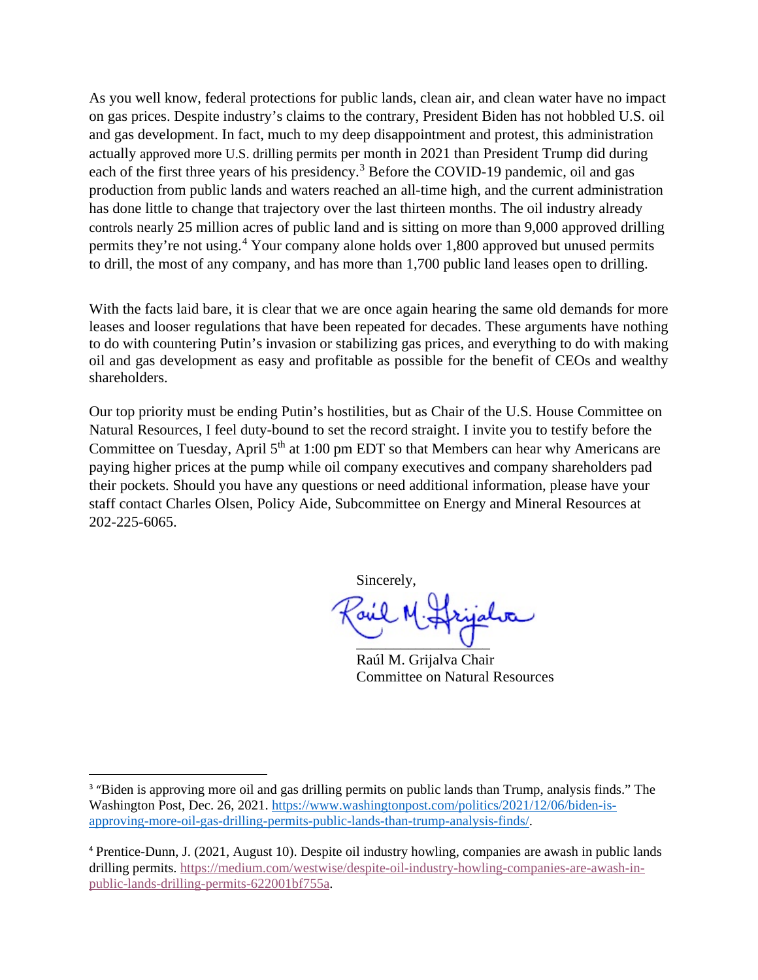As you well know, federal protections for public lands, clean air, and clean water have no impact on gas prices. Despite industry's claims to the contrary, President Biden has not hobbled U.S. oil and gas development. In fact, much to my deep disappointment and protest, this administration actually approved more U.S. drilling permits per month in 2021 than President Trump did during each of the first three years of his presidency.<sup>[3](#page-1-0)</sup> Before the COVID-19 pandemic, oil and gas production from public lands and waters reached an all-time high, and the current administration has done little to change that trajectory over the last thirteen months. The oil industry already controls nearly 25 million acres of public land and is sitting on more than 9,000 approved drilling permits they're not using.[4](#page-1-1) Your company alone holds over 1,800 approved but unused permits to drill, the most of any company, and has more than 1,700 public land leases open to drilling.

With the facts laid bare, it is clear that we are once again hearing the same old demands for more leases and looser regulations that have been repeated for decades. These arguments have nothing to do with countering Putin's invasion or stabilizing gas prices, and everything to do with making oil and gas development as easy and profitable as possible for the benefit of CEOs and wealthy shareholders.

Our top priority must be ending Putin's hostilities, but as Chair of the U.S. House Committee on Natural Resources, I feel duty-bound to set the record straight. I invite you to testify before the Committee on Tuesday, April  $5<sup>th</sup>$  at 1:00 pm EDT so that Members can hear why Americans are paying higher prices at the pump while oil company executives and company shareholders pad their pockets. Should you have any questions or need additional information, please have your staff contact Charles Olsen, Policy Aide, Subcommittee on Energy and Mineral Resources at 202-225-6065.

Sincerely,

 $\cup$ 

Raúl M. Grijalva Chair Committee on Natural Resources

<span id="page-1-0"></span><sup>&</sup>lt;sup>3</sup> "Biden is approving more oil and gas drilling permits on public lands than Trump, analysis finds." The Washington Post, Dec. 26, 2021. [https://www.washingtonpost.com/politics/2021/12/06/biden-is](https://www.washingtonpost.com/politics/2021/12/06/biden-is-approving-more-oil-gas-drilling-permits-public-lands-than-trump-analysis-finds/)[approving-more-oil-gas-drilling-permits-public-lands-than-trump-analysis-finds/.](https://www.washingtonpost.com/politics/2021/12/06/biden-is-approving-more-oil-gas-drilling-permits-public-lands-than-trump-analysis-finds/)

<span id="page-1-1"></span><sup>4</sup> Prentice-Dunn, J. (2021, August 10). Despite oil industry howling, companies are awash in public lands drilling permits. [https://medium.com/westwise/despite-oil-industry-howling-companies-are-awash-in](https://medium.com/westwise/despite-oil-industry-howling-companies-are-awash-in-public-lands-drilling-permits-622001bf755a)[public-lands-drilling-permits-622001bf755a.](https://medium.com/westwise/despite-oil-industry-howling-companies-are-awash-in-public-lands-drilling-permits-622001bf755a)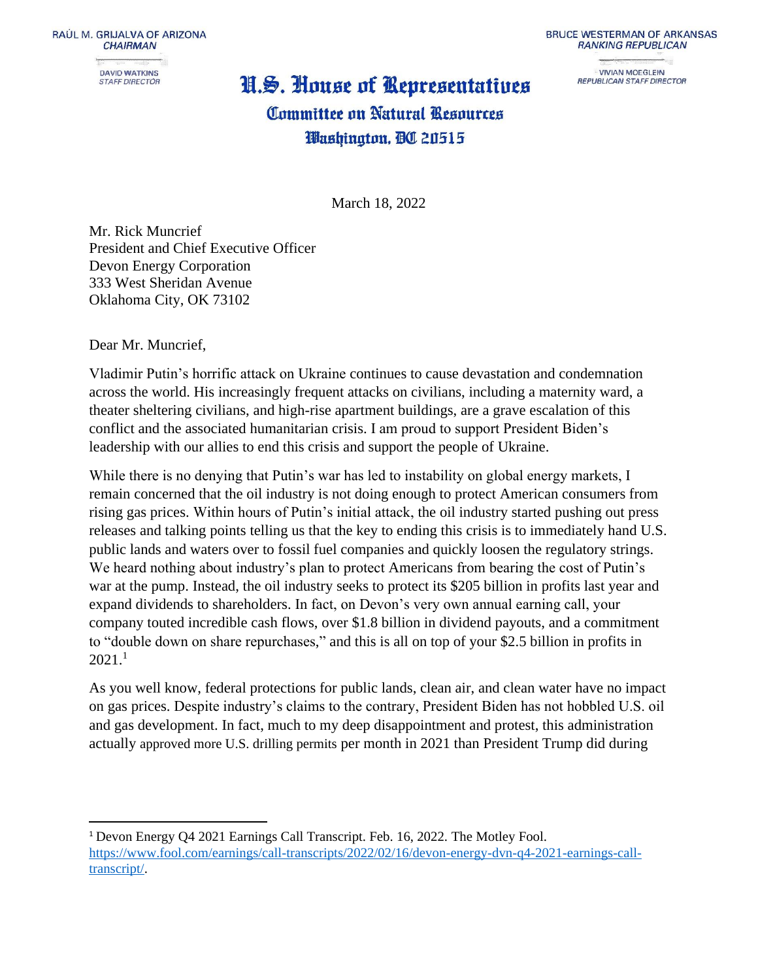RAÚL M. GRIJALVA OF ARIZONA **CHAIRMAN DAVID WATKINS STAFF DIRECTOR** 

# U.S. House of Representatives

**BRUCE WESTERMAN OF ARKANSAS RANKING REPUBLICAN** 

**VIVIAN MOEGLEIN** REPUBLICAN STAFF DIRECTOR

### Committee on Natural Resources Washington, OC 20515

March 18, 2022

Mr. Rick Muncrief President and Chief Executive Officer Devon Energy Corporation 333 West Sheridan Avenue Oklahoma City, OK 73102

Dear Mr. Muncrief,

Vladimir Putin's horrific attack on Ukraine continues to cause devastation and condemnation across the world. His increasingly frequent attacks on civilians, including a maternity ward, a theater sheltering civilians, and high-rise apartment buildings, are a grave escalation of this conflict and the associated humanitarian crisis. I am proud to support President Biden's leadership with our allies to end this crisis and support the people of Ukraine.

While there is no denying that Putin's war has led to instability on global energy markets, I remain concerned that the oil industry is not doing enough to protect American consumers from rising gas prices. Within hours of Putin's initial attack, the oil industry started pushing out press releases and talking points telling us that the key to ending this crisis is to immediately hand U.S. public lands and waters over to fossil fuel companies and quickly loosen the regulatory strings. We heard nothing about industry's plan to protect Americans from bearing the cost of Putin's war at the pump. Instead, the oil industry seeks to protect its \$205 billion in profits last year and expand dividends to shareholders. In fact, on Devon's very own annual earning call, your company touted incredible cash flows, over \$1.8 billion in dividend payouts, and a commitment to "double down on share repurchases," and this is all on top of your \$2.5 billion in profits in  $2021.<sup>1</sup>$ 

As you well know, federal protections for public lands, clean air, and clean water have no impact on gas prices. Despite industry's claims to the contrary, President Biden has not hobbled U.S. oil and gas development. In fact, much to my deep disappointment and protest, this administration actually approved more U.S. drilling permits per month in 2021 than President Trump did during

<sup>1</sup> Devon Energy Q4 2021 Earnings Call Transcript. Feb. 16, 2022. The Motley Fool. [https://www.fool.com/earnings/call-transcripts/2022/02/16/devon-energy-dvn-q4-2021-earnings-call](https://www.fool.com/earnings/call-transcripts/2022/02/16/devon-energy-dvn-q4-2021-earnings-call-transcript/)[transcript/.](https://www.fool.com/earnings/call-transcripts/2022/02/16/devon-energy-dvn-q4-2021-earnings-call-transcript/)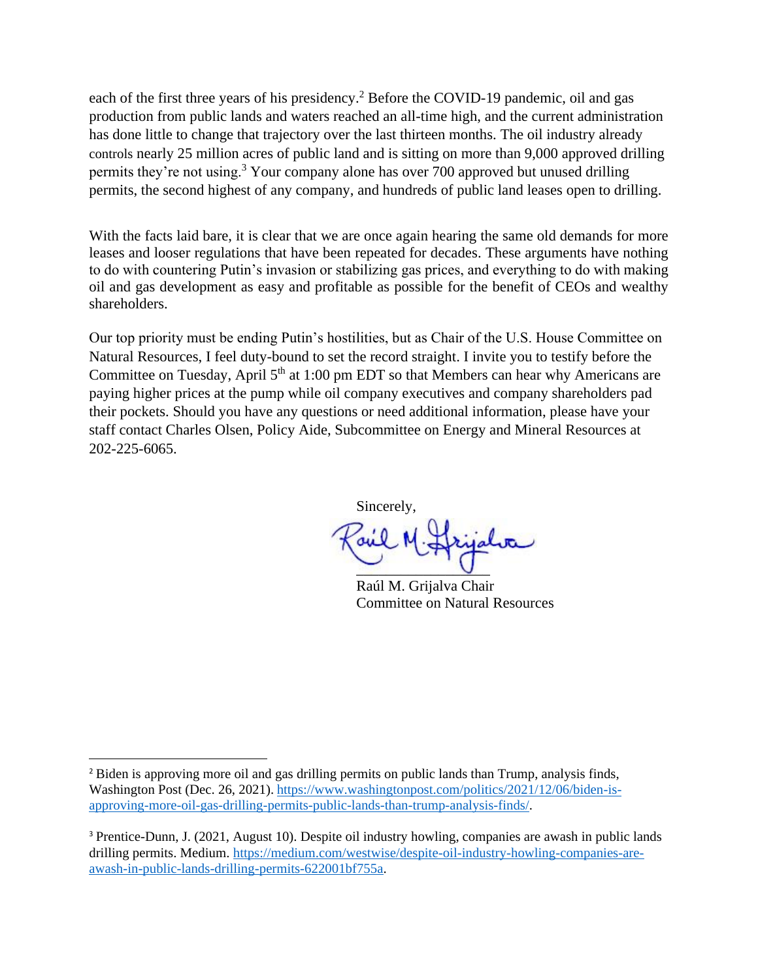each of the first three years of his presidency.<sup>2</sup> Before the COVID-19 pandemic, oil and gas production from public lands and waters reached an all-time high, and the current administration has done little to change that trajectory over the last thirteen months. The oil industry already controls nearly 25 million acres of public land and is sitting on more than 9,000 approved drilling permits they're not using.<sup>3</sup> Your company alone has over 700 approved but unused drilling permits, the second highest of any company, and hundreds of public land leases open to drilling.

With the facts laid bare, it is clear that we are once again hearing the same old demands for more leases and looser regulations that have been repeated for decades. These arguments have nothing to do with countering Putin's invasion or stabilizing gas prices, and everything to do with making oil and gas development as easy and profitable as possible for the benefit of CEOs and wealthy shareholders.

Our top priority must be ending Putin's hostilities, but as Chair of the U.S. House Committee on Natural Resources, I feel duty-bound to set the record straight. I invite you to testify before the Committee on Tuesday, April  $5<sup>th</sup>$  at 1:00 pm EDT so that Members can hear why Americans are paying higher prices at the pump while oil company executives and company shareholders pad their pockets. Should you have any questions or need additional information, please have your staff contact Charles Olsen, Policy Aide, Subcommittee on Energy and Mineral Resources at 202-225-6065.

Sincerely,

 $\cup$ 

Raúl M. Grijalva Chair Committee on Natural Resources

<sup>&</sup>lt;sup>2</sup> Biden is approving more oil and gas drilling permits on public lands than Trump, analysis finds, Washington Post (Dec. 26, 2021). [https://www.washingtonpost.com/politics/2021/12/06/biden-is](https://www.washingtonpost.com/politics/2021/12/06/biden-is-approving-more-oil-gas-drilling-permits-public-lands-than-trump-analysis-finds/)[approving-more-oil-gas-drilling-permits-public-lands-than-trump-analysis-finds/.](https://www.washingtonpost.com/politics/2021/12/06/biden-is-approving-more-oil-gas-drilling-permits-public-lands-than-trump-analysis-finds/)

<sup>3</sup> Prentice-Dunn, J. (2021, August 10). Despite oil industry howling, companies are awash in public lands drilling permits. Medium. [https://medium.com/westwise/despite-oil-industry-howling-companies-are](https://medium.com/westwise/despite-oil-industry-howling-companies-are-awash-in-public-lands-drilling-permits-622001bf755a)[awash-in-public-lands-drilling-permits-622001bf755a.](https://medium.com/westwise/despite-oil-industry-howling-companies-are-awash-in-public-lands-drilling-permits-622001bf755a)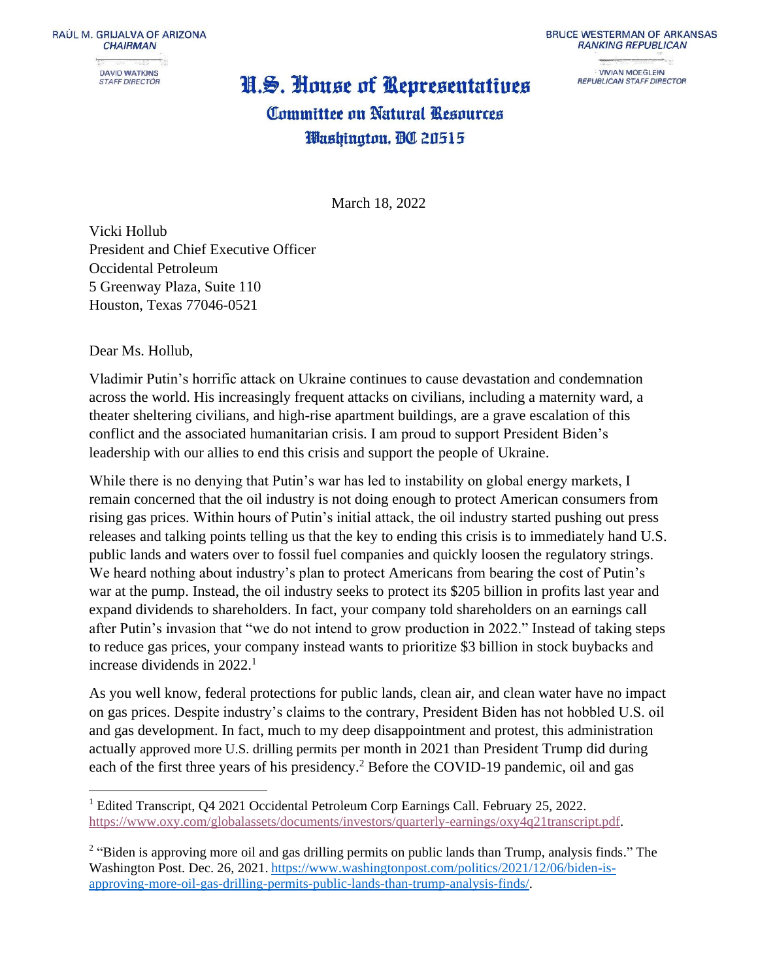RAÚL M. GRIJALVA OF ARIZONA **CHAIRMAN DAVID WATKINS STAFF DIRECTOR** 

## U.S. House of Representatives

**BRUCE WESTERMAN OF ARKANSAS RANKING REPUBLICAN** 

**VIVIAN MOEGLEIN** REPUBLICAN STAFF DIRECTOR

### Committee on Natural Resources Washington, OC 20515

March 18, 2022

Vicki Hollub President and Chief Executive Officer Occidental Petroleum 5 Greenway Plaza, Suite 110 Houston, Texas 77046-0521

Dear Ms. Hollub,

Vladimir Putin's horrific attack on Ukraine continues to cause devastation and condemnation across the world. His increasingly frequent attacks on civilians, including a maternity ward, a theater sheltering civilians, and high-rise apartment buildings, are a grave escalation of this conflict and the associated humanitarian crisis. I am proud to support President Biden's leadership with our allies to end this crisis and support the people of Ukraine.

While there is no denying that Putin's war has led to instability on global energy markets, I remain concerned that the oil industry is not doing enough to protect American consumers from rising gas prices. Within hours of Putin's initial attack, the oil industry started pushing out press releases and talking points telling us that the key to ending this crisis is to immediately hand U.S. public lands and waters over to fossil fuel companies and quickly loosen the regulatory strings. We heard nothing about industry's plan to protect Americans from bearing the cost of Putin's war at the pump. Instead, the oil industry seeks to protect its \$205 billion in profits last year and expand dividends to shareholders. In fact, your company told shareholders on an earnings call after Putin's invasion that "we do not intend to grow production in 2022." Instead of taking steps to reduce gas prices, your company instead wants to prioritize \$3 billion in stock buybacks and increase dividends in  $2022<sup>1</sup>$ 

As you well know, federal protections for public lands, clean air, and clean water have no impact on gas prices. Despite industry's claims to the contrary, President Biden has not hobbled U.S. oil and gas development. In fact, much to my deep disappointment and protest, this administration actually approved more U.S. drilling permits per month in 2021 than President Trump did during each of the first three years of his presidency.<sup>2</sup> Before the COVID-19 pandemic, oil and gas

<sup>&</sup>lt;sup>1</sup> Edited Transcript, Q4 2021 Occidental Petroleum Corp Earnings Call. February 25, 2022. [https://www.oxy.com/globalassets/documents/investors/quarterly-earnings/oxy4q21transcript.pdf.](https://www.oxy.com/globalassets/documents/investors/quarterly-earnings/oxy4q21transcript.pdf)

<sup>&</sup>lt;sup>2</sup> "Biden is approving more oil and gas drilling permits on public lands than Trump, analysis finds." The Washington Post. Dec. 26, 2021. [https://www.washingtonpost.com/politics/2021/12/06/biden-is](https://www.washingtonpost.com/politics/2021/12/06/biden-is-approving-more-oil-gas-drilling-permits-public-lands-than-trump-analysis-finds/)[approving-more-oil-gas-drilling-permits-public-lands-than-trump-analysis-finds/.](https://www.washingtonpost.com/politics/2021/12/06/biden-is-approving-more-oil-gas-drilling-permits-public-lands-than-trump-analysis-finds/)